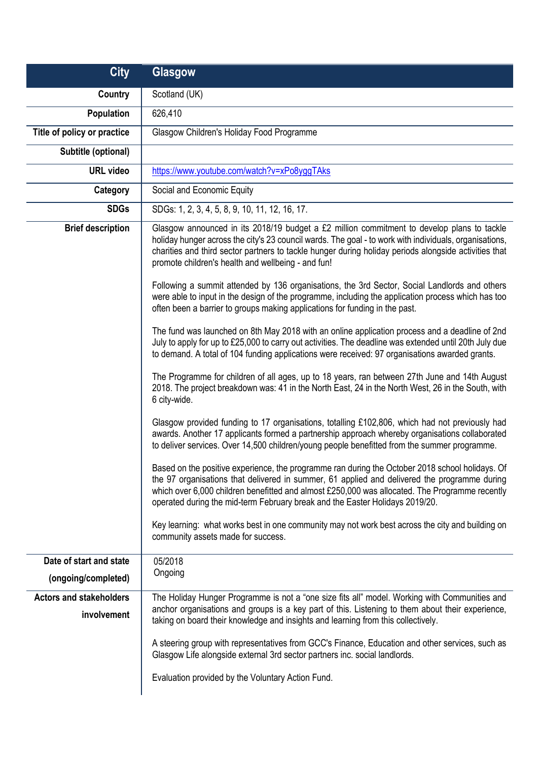| <b>City</b>                                    | Glasgow                                                                                                                                                                                                                                                                                                                                                                           |
|------------------------------------------------|-----------------------------------------------------------------------------------------------------------------------------------------------------------------------------------------------------------------------------------------------------------------------------------------------------------------------------------------------------------------------------------|
| Country                                        | Scotland (UK)                                                                                                                                                                                                                                                                                                                                                                     |
| Population                                     | 626,410                                                                                                                                                                                                                                                                                                                                                                           |
| Title of policy or practice                    | Glasgow Children's Holiday Food Programme                                                                                                                                                                                                                                                                                                                                         |
| Subtitle (optional)                            |                                                                                                                                                                                                                                                                                                                                                                                   |
| <b>URL video</b>                               | https://www.youtube.com/watch?v=xPo8yggTAks                                                                                                                                                                                                                                                                                                                                       |
| Category                                       | Social and Economic Equity                                                                                                                                                                                                                                                                                                                                                        |
| <b>SDGs</b>                                    | SDGs: 1, 2, 3, 4, 5, 8, 9, 10, 11, 12, 16, 17.                                                                                                                                                                                                                                                                                                                                    |
| <b>Brief description</b>                       | Glasgow announced in its 2018/19 budget a £2 million commitment to develop plans to tackle<br>holiday hunger across the city's 23 council wards. The goal - to work with individuals, organisations,<br>charities and third sector partners to tackle hunger during holiday periods alongside activities that<br>promote children's health and wellbeing - and fun!               |
|                                                | Following a summit attended by 136 organisations, the 3rd Sector, Social Landlords and others<br>were able to input in the design of the programme, including the application process which has too<br>often been a barrier to groups making applications for funding in the past.                                                                                                |
|                                                | The fund was launched on 8th May 2018 with an online application process and a deadline of 2nd<br>July to apply for up to £25,000 to carry out activities. The deadline was extended until 20th July due<br>to demand. A total of 104 funding applications were received: 97 organisations awarded grants.                                                                        |
|                                                | The Programme for children of all ages, up to 18 years, ran between 27th June and 14th August<br>2018. The project breakdown was: 41 in the North East, 24 in the North West, 26 in the South, with<br>6 city-wide.                                                                                                                                                               |
|                                                | Glasgow provided funding to 17 organisations, totalling £102,806, which had not previously had<br>awards. Another 17 applicants formed a partnership approach whereby organisations collaborated<br>to deliver services. Over 14,500 children/young people benefitted from the summer programme.                                                                                  |
|                                                | Based on the positive experience, the programme ran during the October 2018 school holidays. Of<br>the 97 organisations that delivered in summer, 61 applied and delivered the programme during<br>which over 6,000 children benefitted and almost £250,000 was allocated. The Programme recently<br>operated during the mid-term February break and the Easter Holidays 2019/20. |
|                                                | Key learning: what works best in one community may not work best across the city and building on<br>community assets made for success.                                                                                                                                                                                                                                            |
| Date of start and state<br>(ongoing/completed) | 05/2018<br>Ongoing                                                                                                                                                                                                                                                                                                                                                                |
| <b>Actors and stakeholders</b><br>involvement  | The Holiday Hunger Programme is not a "one size fits all" model. Working with Communities and<br>anchor organisations and groups is a key part of this. Listening to them about their experience,<br>taking on board their knowledge and insights and learning from this collectively.                                                                                            |
|                                                | A steering group with representatives from GCC's Finance, Education and other services, such as<br>Glasgow Life alongside external 3rd sector partners inc. social landlords.                                                                                                                                                                                                     |
|                                                | Evaluation provided by the Voluntary Action Fund.                                                                                                                                                                                                                                                                                                                                 |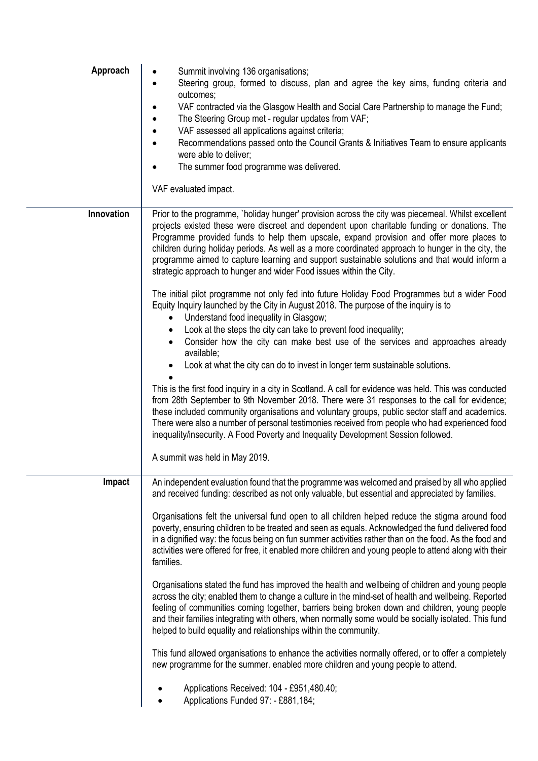| Approach   | Summit involving 136 organisations;<br>Steering group, formed to discuss, plan and agree the key aims, funding criteria and<br>$\bullet$<br>outcomes;<br>VAF contracted via the Glasgow Health and Social Care Partnership to manage the Fund;<br>The Steering Group met - regular updates from VAF;<br>$\bullet$<br>VAF assessed all applications against criteria;<br>$\bullet$<br>Recommendations passed onto the Council Grants & Initiatives Team to ensure applicants<br>$\bullet$<br>were able to deliver;<br>The summer food programme was delivered.<br>VAF evaluated impact.                                                                                                                                                                                                                                                                                                                                                                                                                                                                                                                                                                                                                                                                                                                                                                                                                                                                                                                                                                                                                                |
|------------|-----------------------------------------------------------------------------------------------------------------------------------------------------------------------------------------------------------------------------------------------------------------------------------------------------------------------------------------------------------------------------------------------------------------------------------------------------------------------------------------------------------------------------------------------------------------------------------------------------------------------------------------------------------------------------------------------------------------------------------------------------------------------------------------------------------------------------------------------------------------------------------------------------------------------------------------------------------------------------------------------------------------------------------------------------------------------------------------------------------------------------------------------------------------------------------------------------------------------------------------------------------------------------------------------------------------------------------------------------------------------------------------------------------------------------------------------------------------------------------------------------------------------------------------------------------------------------------------------------------------------|
| Innovation | Prior to the programme, `holiday hunger' provision across the city was piecemeal. Whilst excellent<br>projects existed these were discreet and dependent upon charitable funding or donations. The<br>Programme provided funds to help them upscale, expand provision and offer more places to<br>children during holiday periods. As well as a more coordinated approach to hunger in the city, the<br>programme aimed to capture learning and support sustainable solutions and that would inform a<br>strategic approach to hunger and wider Food issues within the City.<br>The initial pilot programme not only fed into future Holiday Food Programmes but a wider Food<br>Equity Inquiry launched by the City in August 2018. The purpose of the inquiry is to<br>Understand food inequality in Glasgow;<br>Look at the steps the city can take to prevent food inequality;<br>$\bullet$<br>Consider how the city can make best use of the services and approaches already<br>available;<br>Look at what the city can do to invest in longer term sustainable solutions.<br>This is the first food inquiry in a city in Scotland. A call for evidence was held. This was conducted<br>from 28th September to 9th November 2018. There were 31 responses to the call for evidence;<br>these included community organisations and voluntary groups, public sector staff and academics.<br>There were also a number of personal testimonies received from people who had experienced food<br>inequality/insecurity. A Food Poverty and Inequality Development Session followed.<br>A summit was held in May 2019. |
| Impact     | An independent evaluation found that the programme was welcomed and praised by all who applied<br>and received funding: described as not only valuable, but essential and appreciated by families.<br>Organisations felt the universal fund open to all children helped reduce the stigma around food<br>poverty, ensuring children to be treated and seen as equals. Acknowledged the fund delivered food<br>in a dignified way: the focus being on fun summer activities rather than on the food. As the food and<br>activities were offered for free, it enabled more children and young people to attend along with their<br>families.<br>Organisations stated the fund has improved the health and wellbeing of children and young people<br>across the city; enabled them to change a culture in the mind-set of health and wellbeing. Reported<br>feeling of communities coming together, barriers being broken down and children, young people<br>and their families integrating with others, when normally some would be socially isolated. This fund<br>helped to build equality and relationships within the community.<br>This fund allowed organisations to enhance the activities normally offered, or to offer a completely<br>new programme for the summer. enabled more children and young people to attend.<br>Applications Received: 104 - £951,480.40;<br>Applications Funded 97: - £881,184;                                                                                                                                                                                                     |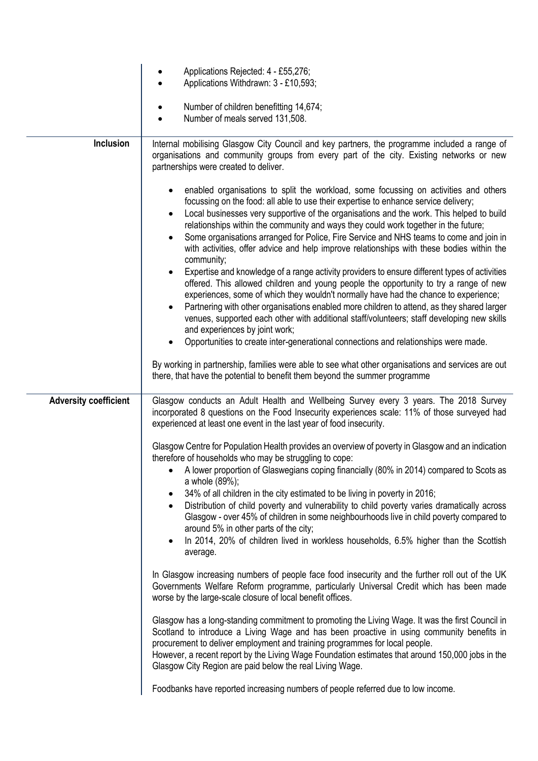|                              | Applications Rejected: 4 - £55,276;<br>Applications Withdrawn: 3 - £10,593;                                                                                                                                                                                                                                                                                                                                                                                                                                                                                                                                                                                                                                                                                                                                                                                                                                                                                                                                                                                                                           |
|------------------------------|-------------------------------------------------------------------------------------------------------------------------------------------------------------------------------------------------------------------------------------------------------------------------------------------------------------------------------------------------------------------------------------------------------------------------------------------------------------------------------------------------------------------------------------------------------------------------------------------------------------------------------------------------------------------------------------------------------------------------------------------------------------------------------------------------------------------------------------------------------------------------------------------------------------------------------------------------------------------------------------------------------------------------------------------------------------------------------------------------------|
|                              | Number of children benefitting 14,674;<br>Number of meals served 131,508.                                                                                                                                                                                                                                                                                                                                                                                                                                                                                                                                                                                                                                                                                                                                                                                                                                                                                                                                                                                                                             |
| Inclusion                    | Internal mobilising Glasgow City Council and key partners, the programme included a range of<br>organisations and community groups from every part of the city. Existing networks or new<br>partnerships were created to deliver.                                                                                                                                                                                                                                                                                                                                                                                                                                                                                                                                                                                                                                                                                                                                                                                                                                                                     |
|                              | enabled organisations to split the workload, some focussing on activities and others<br>$\bullet$<br>focussing on the food: all able to use their expertise to enhance service delivery;<br>Local businesses very supportive of the organisations and the work. This helped to build<br>$\bullet$<br>relationships within the community and ways they could work together in the future;<br>Some organisations arranged for Police, Fire Service and NHS teams to come and join in<br>$\bullet$<br>with activities, offer advice and help improve relationships with these bodies within the<br>community;<br>Expertise and knowledge of a range activity providers to ensure different types of activities<br>offered. This allowed children and young people the opportunity to try a range of new<br>experiences, some of which they wouldn't normally have had the chance to experience;<br>Partnering with other organisations enabled more children to attend, as they shared larger<br>$\bullet$<br>venues, supported each other with additional staff/volunteers; staff developing new skills |
|                              | and experiences by joint work;<br>Opportunities to create inter-generational connections and relationships were made.                                                                                                                                                                                                                                                                                                                                                                                                                                                                                                                                                                                                                                                                                                                                                                                                                                                                                                                                                                                 |
|                              | By working in partnership, families were able to see what other organisations and services are out<br>there, that have the potential to benefit them beyond the summer programme                                                                                                                                                                                                                                                                                                                                                                                                                                                                                                                                                                                                                                                                                                                                                                                                                                                                                                                      |
| <b>Adversity coefficient</b> | Glasgow conducts an Adult Health and Wellbeing Survey every 3 years. The 2018 Survey<br>incorporated 8 questions on the Food Insecurity experiences scale: 11% of those surveyed had<br>experienced at least one event in the last year of food insecurity.                                                                                                                                                                                                                                                                                                                                                                                                                                                                                                                                                                                                                                                                                                                                                                                                                                           |
|                              | Glasgow Centre for Population Health provides an overview of poverty in Glasgow and an indication<br>therefore of households who may be struggling to cope:<br>A lower proportion of Glaswegians coping financially (80% in 2014) compared to Scots as<br>a whole (89%);<br>34% of all children in the city estimated to be living in poverty in 2016;<br>Distribution of child poverty and vulnerability to child poverty varies dramatically across<br>Glasgow - over 45% of children in some neighbourhoods live in child poverty compared to<br>around 5% in other parts of the city;<br>In 2014, 20% of children lived in workless households, 6.5% higher than the Scottish<br>$\bullet$<br>average.                                                                                                                                                                                                                                                                                                                                                                                            |
|                              | In Glasgow increasing numbers of people face food insecurity and the further roll out of the UK<br>Governments Welfare Reform programme, particularly Universal Credit which has been made<br>worse by the large-scale closure of local benefit offices.                                                                                                                                                                                                                                                                                                                                                                                                                                                                                                                                                                                                                                                                                                                                                                                                                                              |
|                              | Glasgow has a long-standing commitment to promoting the Living Wage. It was the first Council in<br>Scotland to introduce a Living Wage and has been proactive in using community benefits in<br>procurement to deliver employment and training programmes for local people.<br>However, a recent report by the Living Wage Foundation estimates that around 150,000 jobs in the<br>Glasgow City Region are paid below the real Living Wage.                                                                                                                                                                                                                                                                                                                                                                                                                                                                                                                                                                                                                                                          |
|                              | Foodbanks have reported increasing numbers of people referred due to low income.                                                                                                                                                                                                                                                                                                                                                                                                                                                                                                                                                                                                                                                                                                                                                                                                                                                                                                                                                                                                                      |